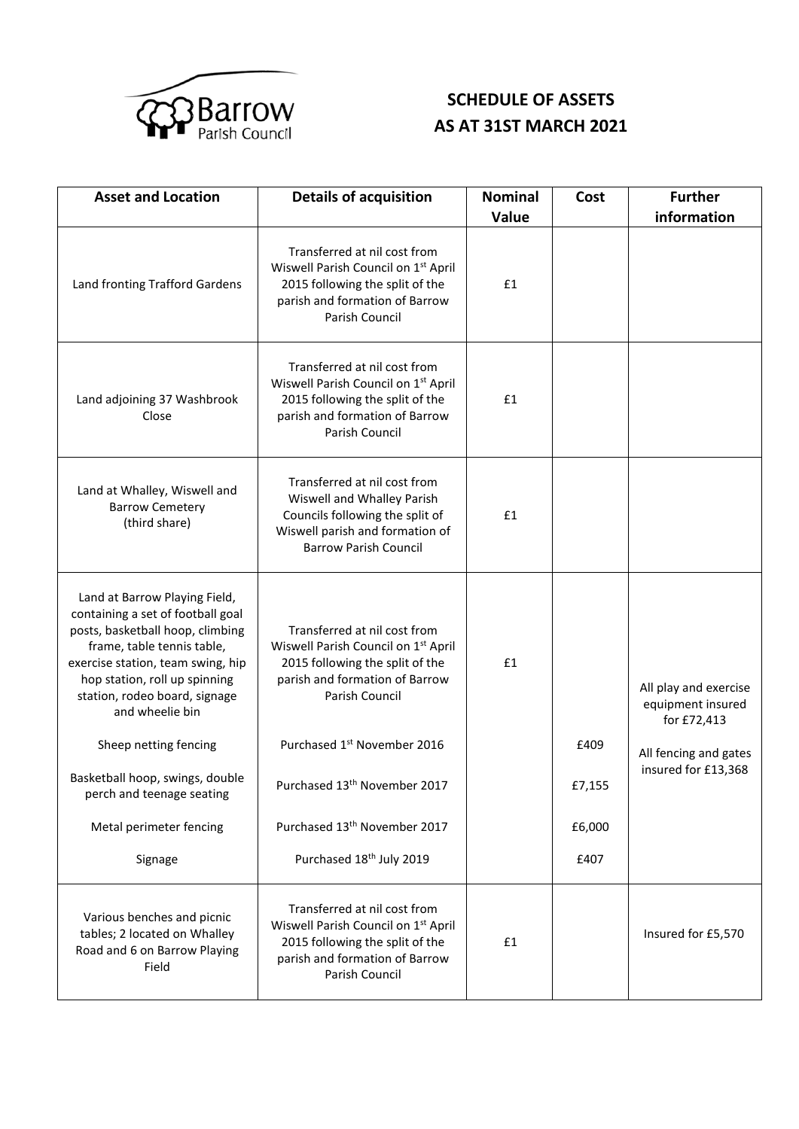

## **SCHEDULE OF ASSETS AS AT 31ST MARCH 2021**

| <b>Asset and Location</b>                                                                                                                                                                                                                                                                                                                                                                     | <b>Details of acquisition</b>                                                                                                                                                                                                                                                                                                                     | <b>Nominal</b><br>Value | Cost                             | <b>Further</b><br>information                                                                             |
|-----------------------------------------------------------------------------------------------------------------------------------------------------------------------------------------------------------------------------------------------------------------------------------------------------------------------------------------------------------------------------------------------|---------------------------------------------------------------------------------------------------------------------------------------------------------------------------------------------------------------------------------------------------------------------------------------------------------------------------------------------------|-------------------------|----------------------------------|-----------------------------------------------------------------------------------------------------------|
| Land fronting Trafford Gardens                                                                                                                                                                                                                                                                                                                                                                | Transferred at nil cost from<br>Wiswell Parish Council on 1 <sup>st</sup> April<br>2015 following the split of the<br>parish and formation of Barrow<br>Parish Council                                                                                                                                                                            | £1                      |                                  |                                                                                                           |
| Land adjoining 37 Washbrook<br>Close                                                                                                                                                                                                                                                                                                                                                          | Transferred at nil cost from<br>Wiswell Parish Council on 1 <sup>st</sup> April<br>2015 following the split of the<br>parish and formation of Barrow<br>Parish Council                                                                                                                                                                            | £1                      |                                  |                                                                                                           |
| Land at Whalley, Wiswell and<br><b>Barrow Cemetery</b><br>(third share)                                                                                                                                                                                                                                                                                                                       | Transferred at nil cost from<br>Wiswell and Whalley Parish<br>Councils following the split of<br>Wiswell parish and formation of<br><b>Barrow Parish Council</b>                                                                                                                                                                                  | £1                      |                                  |                                                                                                           |
| Land at Barrow Playing Field,<br>containing a set of football goal<br>posts, basketball hoop, climbing<br>frame, table tennis table,<br>exercise station, team swing, hip<br>hop station, roll up spinning<br>station, rodeo board, signage<br>and wheelie bin<br>Sheep netting fencing<br>Basketball hoop, swings, double<br>perch and teenage seating<br>Metal perimeter fencing<br>Signage | Transferred at nil cost from<br>Wiswell Parish Council on 1 <sup>st</sup> April<br>2015 following the split of the<br>parish and formation of Barrow<br>Parish Council<br>Purchased 1 <sup>st</sup> November 2016<br>Purchased 13 <sup>th</sup> November 2017<br>Purchased 13 <sup>th</sup> November 2017<br>Purchased 18 <sup>th</sup> July 2019 | £1                      | £409<br>£7,155<br>£6,000<br>£407 | All play and exercise<br>equipment insured<br>for £72,413<br>All fencing and gates<br>insured for £13,368 |
| Various benches and picnic<br>tables; 2 located on Whalley<br>Road and 6 on Barrow Playing<br>Field                                                                                                                                                                                                                                                                                           | Transferred at nil cost from<br>Wiswell Parish Council on 1 <sup>st</sup> April<br>2015 following the split of the<br>parish and formation of Barrow<br>Parish Council                                                                                                                                                                            | £1                      |                                  | Insured for £5,570                                                                                        |